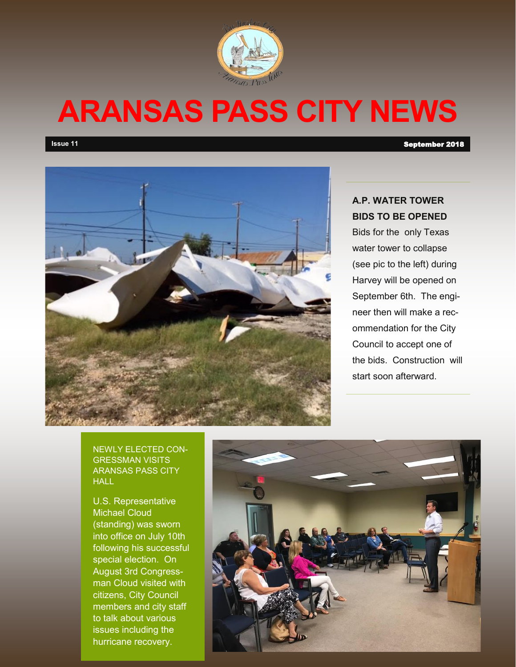

# **ARANSAS PASS CITY NEWS**

**Issue 11** September 2018



### **A.P. WATER TOWER BIDS TO BE OPENED**

Bids for the only Texas water tower to collapse (see pic to the left) during Harvey will be opened on September 6th. The engineer then will make a recommendation for the City Council to accept one of the bids. Construction will start soon afterward.

NEWLY ELECTED CON-GRESSMAN VISITS ARANSAS PASS CITY HALL

U.S. Representative Michael Cloud (standing) was sworn into office on July 10th following his successful special election. On August 3rd Congressman Cloud visited with citizens, City Council members and city staff to talk about various issues including the hurricane recovery.

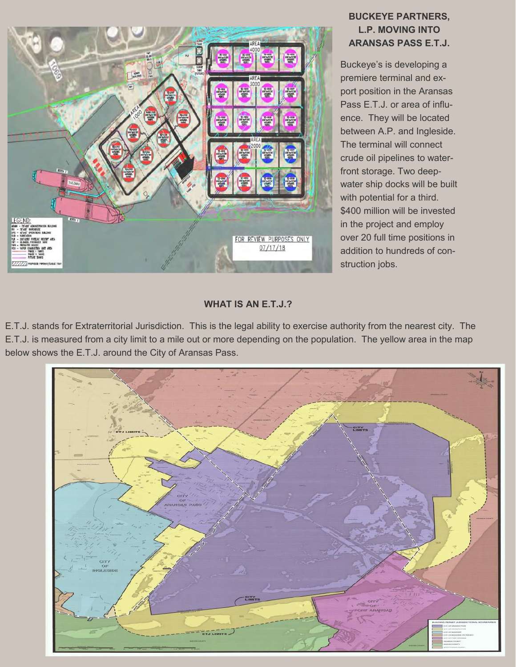

#### **BUCKEYE PARTNERS, L.P. MOVING INTO ARANSAS PASS E.T.J.**

Buckeye's is developing a premiere terminal and export position in the Aransas Pass E.T.J. or area of influence. They will be located between A.P. and Ingleside. The terminal will connect crude oil pipelines to waterfront storage. Two deepwater ship docks will be built with potential for a third. \$400 million will be invested in the project and employ over 20 full time positions in addition to hundreds of construction jobs.

#### **WHAT IS AN E.T.J.?**

E.T.J. stands for Extraterritorial Jurisdiction. This is the legal ability to exercise authority from the nearest city. The E.T.J. is measured from a city limit to a mile out or more depending on the population. The yellow area in the map below shows the E.T.J. around the City of Aransas Pass.

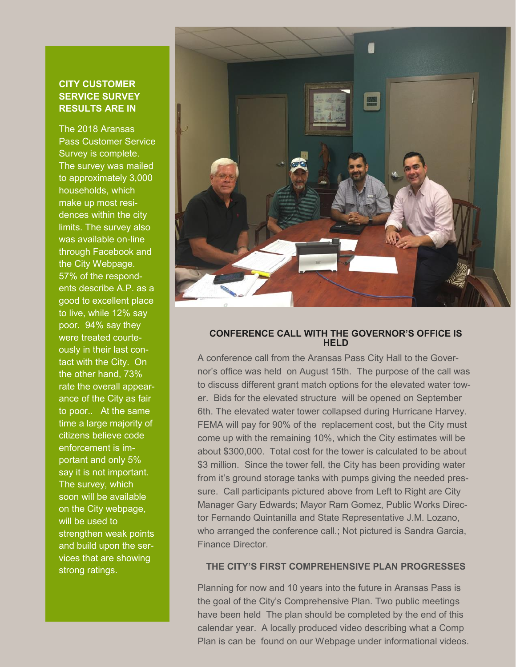#### **CITY CUSTOMER SERVICE SURVEY RESULTS ARE IN**

The 2018 Aransas Pass Customer Service Survey is complete. The survey was mailed to approximately 3,000 households, which make up most residences within the city limits. The survey also was available on-line through Facebook and the City Webpage. 57% of the respondents describe A.P. as a good to excellent place to live, while 12% say poor. 94% say they were treated courteously in their last contact with the City. On the other hand, 73% rate the overall appearance of the City as fair to poor.. At the same time a large majority of citizens believe code enforcement is important and only 5% say it is not important. The survey, which soon will be available on the City webpage, will be used to strengthen weak points and build upon the services that are showing strong ratings.



#### **CONFERENCE CALL WITH THE GOVERNOR'S OFFICE IS HELD**

A conference call from the Aransas Pass City Hall to the Governor's office was held on August 15th. The purpose of the call was to discuss different grant match options for the elevated water tower. Bids for the elevated structure will be opened on September 6th. The elevated water tower collapsed during Hurricane Harvey. FEMA will pay for 90% of the replacement cost, but the City must come up with the remaining 10%, which the City estimates will be about \$300,000. Total cost for the tower is calculated to be about \$3 million. Since the tower fell, the City has been providing water from it's ground storage tanks with pumps giving the needed pressure. Call participants pictured above from Left to Right are City Manager Gary Edwards; Mayor Ram Gomez, Public Works Director Fernando Quintanilla and State Representative J.M. Lozano, who arranged the conference call.; Not pictured is Sandra Garcia, Finance Director.

#### **THE CITY'S FIRST COMPREHENSIVE PLAN PROGRESSES**

Planning for now and 10 years into the future in Aransas Pass is the goal of the City's Comprehensive Plan. Two public meetings have been held The plan should be completed by the end of this calendar year. A locally produced video describing what a Comp Plan is can be found on our Webpage under informational videos.